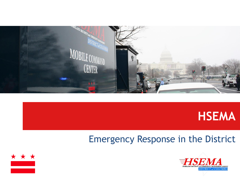



#### Emergency Response in the District



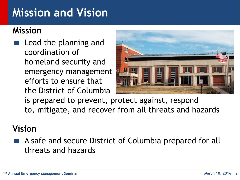### **Mission and Vision**

#### **Mission**

 Lead the planning and coordination of homeland security and emergency management efforts to ensure that the District of Columbia



is prepared to prevent, protect against, respond to, mitigate, and recover from all threats and hazards

#### **Vision**

 A safe and secure District of Columbia prepared for all threats and hazards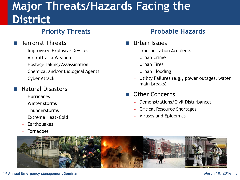### **Major Threats/Hazards Facing the District**

#### **Priority Threats**

- Terrorist Threats
	- Improvised Explosive Devices
	- Aircraft as a Weapon
	- Hostage Taking/Assassination
	- Chemical and/or Biological Agents
	- Cyber Attack

#### Natural Disasters

- **Hurricanes**
- Winter storms
- **Thunderstorms**
- Extreme Heat/Cold
- **Earthquakes**
- **Tornadoes**

#### **Probable Hazards**

- Urban Issues
	- **Transportation Accidents**
	- Urban Crime
	- Urban Fires
	- Urban Flooding
	- Utility Failures (e.g., power outages, water main breaks)
- Other Concerns
	- Demonstrations/Civil Disturbances
	- Critical Resource Shortages
	- Viruses and Epidemics

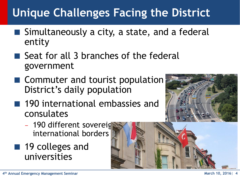# **Unique Challenges Facing the District**

- Simultaneously a city, a state, and a federal entity
- $\blacksquare$  Seat for all 3 branches of the federal government
- $\blacksquare$  Commuter and tourist population District's daily population
- 190 international embassies and consulates
	- 190 different sovereig international borders
- 19 colleges and universities

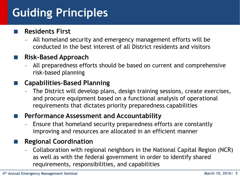# **Guiding Principles**

#### **Residents First**

- All homeland security and emergency management efforts will be conducted in the best interest of all District residents and visitors

#### **Risk-Based Approach**

- All preparedness efforts should be based on current and comprehensive risk-based planning

#### **Capabilities–Based Planning**

The District will develop plans, design training sessions, create exercises, and procure equipment based on a functional analysis of operational requirements that dictates priority preparedness capabilities

#### **Performance Assessment and Accountability**

Ensure that homeland security preparedness efforts are constantly improving and resources are allocated in an efficient manner

#### **Regional Coordination**

- Collaboration with regional neighbors in the National Capital Region (NCR) as well as with the federal government in order to identify shared requirements, responsibilities, and capabilities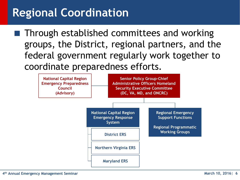### **Regional Coordination**

 Through established committees and working groups, the District, regional partners, and the federal government regularly work together to coordinate preparedness efforts.

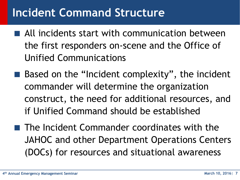### **Incident Command Structure**

- All incidents start with communication between the first responders on-scene and the Office of Unified Communications
- $\blacksquare$  Based on the "Incident complexity", the incident commander will determine the organization construct, the need for additional resources, and if Unified Command should be established
- $\blacksquare$  The Incident Commander coordinates with the JAHOC and other Department Operations Centers (DOCs) for resources and situational awareness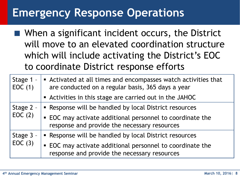#### **Emergency Response Operations**

■ When a significant incident occurs, the District will move to an elevated coordination structure which will include activating the District's EOC to coordinate District response efforts

| Stage 1 -<br>EOC(1) | Activated at all times and encompasses watch activities that<br>are conducted on a regular basis, 365 days a year |
|---------------------|-------------------------------------------------------------------------------------------------------------------|
|                     | Activities in this stage are carried out in the JAHOC                                                             |
| Stage 2 -<br>EOC(2) | • Response will be handled by local District resources                                                            |
|                     | • EOC may activate additional personnel to coordinate the<br>response and provide the necessary resources         |
| Stage 3 -<br>EOC(3) | • Response will be handled by local District resources                                                            |
|                     | • EOC may activate additional personnel to coordinate the<br>response and provide the necessary resources         |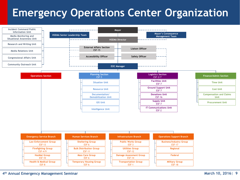#### **Emergency Operations Center Organization**

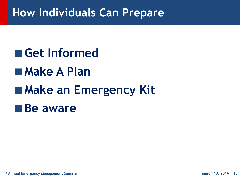### **How Individuals Can Prepare**

# **Get Informed Make A Plan Make an Emergency Kit Be aware**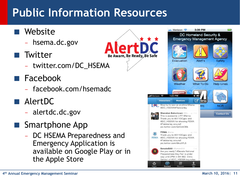# **Public Information Resources**

- Website
	- hsema.dc.gov
- **T** Twitter
	- twitter.com/DC HSEMA
- **Facebook** 
	- facebook.com/hsemadc
- AlertDC
	- alertdc.dc.gov
- **Smartphone App** 
	- DC HSEMA Preparedness and Emergency Application is available on Google Play or in the Apple Store

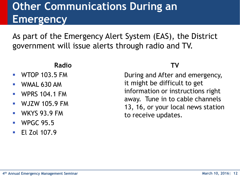### **Other Communications During an Emergency**

As part of the Emergency Alert System (EAS), the District government will issue alerts through radio and TV.

#### **Radio**

- WTOP 103.5 FM
- WMAL 630 AM
- WPRS 104.1 FM
- $\blacksquare$  WJZW 105.9 FM
- WKYS 93.9 FM
- WPGC 95.5
- El Zol 107.9

#### **TV**

During and After and emergency, it might be difficult to get information or instructions right away. Tune in to cable channels 13, 16, or your local news station to receive updates.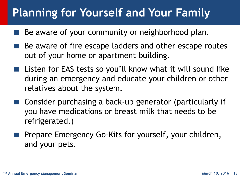### **Planning for Yourself and Your Family**

- Be aware of your community or neighborhood plan.
- Be aware of fire escape ladders and other escape routes out of your home or apartment building.
- Listen for EAS tests so you'll know what it will sound like during an emergency and educate your children or other relatives about the system.
- Consider purchasing a back-up generator (particularly if you have medications or breast milk that needs to be refrigerated.)
- Prepare Emergency Go-Kits for yourself, your children, and your pets.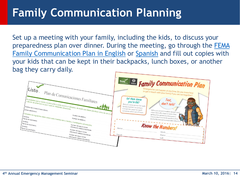### **Family Communication Planning**

Set up a meeting with your family, including the kids, to discuss your preparedness plan over dinner. During the meeting, go through the [FEMA](http://www.fema.gov/media-library/assets/documents/34330)  [Family Communication Plan in English](http://www.fema.gov/media-library/assets/documents/34330) or [Spanish](http://www.fema.gov/media-library-data/1391801271960-0a5f90f55e2c3b9bafae1d3a692f50e6/2014_PlanComuFami_es.pdf) and fill out copies with your kids that can be kept in their backpacks, lunch boxes, or another bag they carry daily.

|                                                                                                                                                                | Ready Family Communication Plan                                                                                                                                                                                                                                                   |
|----------------------------------------------------------------------------------------------------------------------------------------------------------------|-----------------------------------------------------------------------------------------------------------------------------------------------------------------------------------------------------------------------------------------------------------------------------------|
| Listo<br>Plan de Comunicaciones Familiares                                                                                                                     | Emergencies can happen at any time. Do you know how<br>to get in touch with your family if you are not together?                                                                                                                                                                  |
| $\int_{\tau_{i}}^{E_S} \text{probable que su farnilia no este junta cuando ocurra un descastro. de modo que deben planificar como se van a co$                 | Let them know<br>Text,<br>you're OK!<br>D(0)<br>don't talk!<br>Pick the same person for each<br>family member to contact.                                                                                                                                                         |
| Correo electrónico:<br>Complete los siguientes datos sobre cada miembro de su familia y manténgalos actualizados.<br>I Fecha de nacimiento:                    | It might be easier to reach<br>Unless you are in immediate danger, send<br>someone who's out of town.<br>a text. Texts often have an easier time<br>getting through during emergencies,<br>and you don't want to tie up phone lines<br>needed by emergency responders (like 911). |
| Nombre:<br>I Fecha de nacimiento:<br>Número de seguro social:<br>Nombre:<br>Información médica importante:<br>Fecha de nacimiento:<br>Número de seguro social: | <b>Know the Numbers!</b><br>Home:                                                                                                                                                                                                                                                 |
| Información médica importante:<br>Número de seguro social:<br>Información médica importante:                                                                   | Adult:<br>Parent:<br>Home:<br>Cell:                                                                                                                                                                                                                                               |
|                                                                                                                                                                |                                                                                                                                                                                                                                                                                   |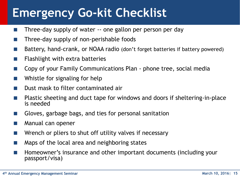# **Emergency Go-kit Checklist**

- **Three-day supply of water -- one gallon per person per day**
- **Three-day supply of non-perishable foods**
- Battery, hand-crank, or NOAA radio (don't forget batteries if battery powered)
- Flashlight with extra batteries
- Copy of your Family Communications Plan phone tree, social media
- Whistle for signaling for help
- Dust mask to filter contaminated air
- Plastic sheeting and duct tape for windows and doors if sheltering-in-place is needed
- Gloves, garbage bags, and ties for personal sanitation
- Manual can opener
- Wrench or pliers to shut off utility valves if necessary
- Maps of the local area and neighboring states
- Homeowner's insurance and other important documents (including your passport/visa)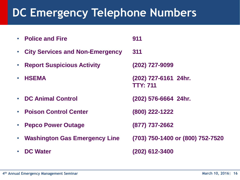## **DC Emergency Telephone Numbers**

| $\bullet$ | <b>Police and Fire</b>                 | 911                                     |
|-----------|----------------------------------------|-----------------------------------------|
| $\bullet$ | <b>City Services and Non-Emergency</b> | 311                                     |
| $\bullet$ | <b>Report Suspicious Activity</b>      | (202) 727-9099                          |
| $\bullet$ | <b>HSEMA</b>                           | (202) 727-6161 24hr.<br><b>TTY: 711</b> |
|           | • DC Animal Control                    | (202) 576-6664 24hr.                    |
| $\bullet$ | <b>Poison Control Center</b>           | (800) 222-1222                          |
|           | <b>Pepco Power Outage</b>              | (877) 737-2662                          |
| $\bullet$ | <b>Washington Gas Emergency Line</b>   | (703) 750-1400 or (800) 752-7520        |
|           | <b>DC Water</b>                        | (202) 612-3400                          |